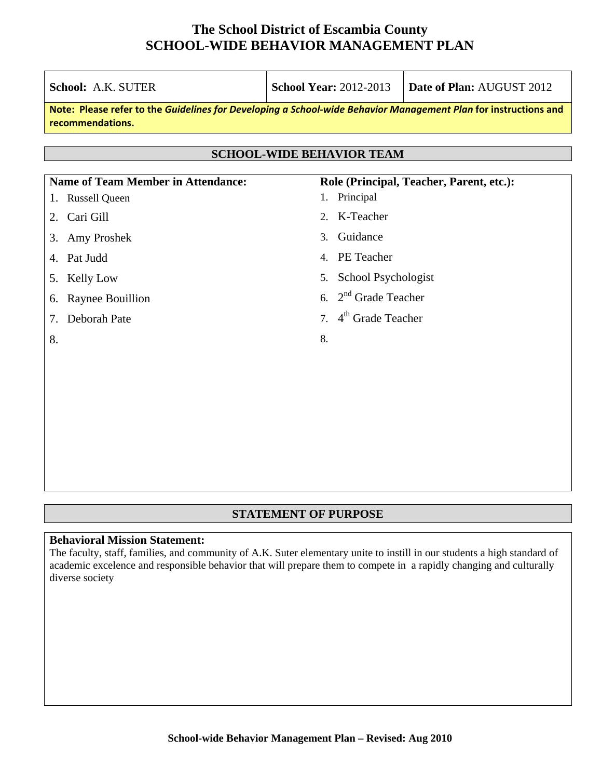$\mathsf{I}$ 

 $\mathsf{I}$ 

| School: A.K. SUTER                                                                                                                  | <b>School Year: 2012-2013</b>    | Date of Plan: AUGUST 2012                |  |
|-------------------------------------------------------------------------------------------------------------------------------------|----------------------------------|------------------------------------------|--|
| Note: Please refer to the Guidelines for Developing a School-wide Behavior Management Plan for instructions and<br>recommendations. |                                  |                                          |  |
|                                                                                                                                     | <b>SCHOOL-WIDE BEHAVIOR TEAM</b> |                                          |  |
| <b>Name of Team Member in Attendance:</b>                                                                                           |                                  | Role (Principal, Teacher, Parent, etc.): |  |
| 1. Russell Queen                                                                                                                    | 1. Principal                     |                                          |  |
| 2. Cari Gill                                                                                                                        | 2. K-Teacher                     |                                          |  |
| Amy Proshek<br>3.                                                                                                                   | 3. Guidance                      |                                          |  |
| Pat Judd<br>4.                                                                                                                      | 4. PE Teacher                    |                                          |  |
| 5. Kelly Low                                                                                                                        | 5. School Psychologist           |                                          |  |
| Raynee Bouillion<br>6.                                                                                                              | 6. $2nd$ Grade Teacher           |                                          |  |
| Deborah Pate<br>7.                                                                                                                  | 7. $4th$ Grade Teacher           |                                          |  |
| 8.                                                                                                                                  | 8.                               |                                          |  |
|                                                                                                                                     |                                  |                                          |  |
|                                                                                                                                     |                                  |                                          |  |
|                                                                                                                                     |                                  |                                          |  |
|                                                                                                                                     |                                  |                                          |  |

#### **STATEMENT OF PURPOSE**

#### **Behavioral Mission Statement:**

Г

The faculty, staff, families, and community of A.K. Suter elementary unite to instill in our students a high standard of academic excelence and responsible behavior that will prepare them to compete in a rapidly changing and culturally diverse society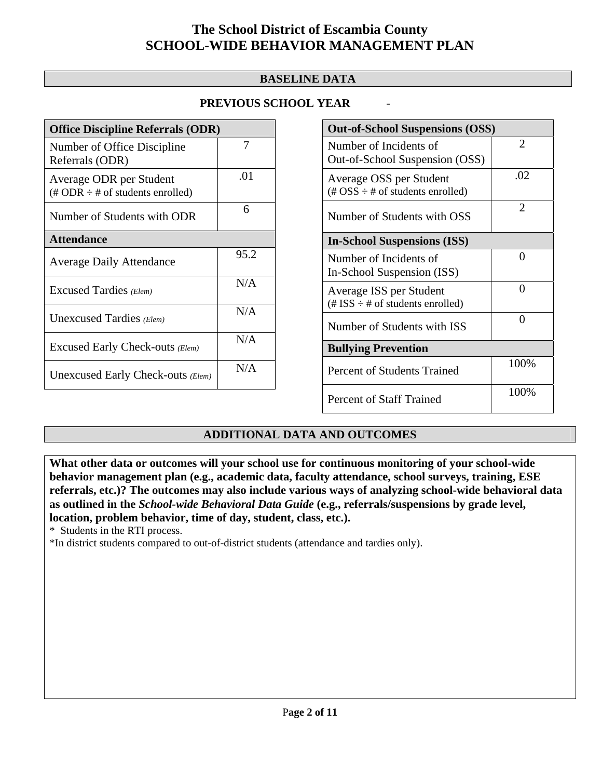#### **BASELINE DATA**

#### **PREVIOUS SCHOOL YEAR** -

| <b>Office Discipline Referrals (ODR)</b>                                         |      |  |
|----------------------------------------------------------------------------------|------|--|
| Number of Office Discipline<br>Referrals (ODR)                                   | 7    |  |
| Average ODR per Student<br>$(\text{\# ODR} \div \text{\# of students enrolled})$ | .01  |  |
| Number of Students with ODR                                                      | 6    |  |
| <b>Attendance</b>                                                                |      |  |
| <b>Average Daily Attendance</b>                                                  | 95.2 |  |
| Excused Tardies (Elem)                                                           | N/A  |  |
| Unexcused Tardies (Elem)                                                         | N/A  |  |
| Excused Early Check-outs (Elem)                                                  | N/A  |  |
| Unexcused Early Check-outs (Elem)                                                | N/A  |  |

| <b>Out-of-School Suspensions (OSS)</b>                                                          |                |  |  |  |
|-------------------------------------------------------------------------------------------------|----------------|--|--|--|
| Number of Incidents of<br>Out-of-School Suspension (OSS)                                        | $\overline{2}$ |  |  |  |
| Average OSS per Student<br>$(\text{\#} \text{OSS} \div \text{\#} \text{ of students enrolled})$ | .02            |  |  |  |
| Number of Students with OSS                                                                     | $\overline{2}$ |  |  |  |
| <b>In-School Suspensions (ISS)</b>                                                              |                |  |  |  |
| Number of Incidents of<br>In-School Suspension (ISS)                                            | 0              |  |  |  |
| Average ISS per Student<br>(# ISS $\div$ # of students enrolled)                                | 0              |  |  |  |
| Number of Students with ISS                                                                     | 0              |  |  |  |
| <b>Bullying Prevention</b>                                                                      |                |  |  |  |
| <b>Percent of Students Trained</b>                                                              | 100%           |  |  |  |
| <b>Percent of Staff Trained</b>                                                                 | 100%           |  |  |  |

### **ADDITIONAL DATA AND OUTCOMES**

**What other data or outcomes will your school use for continuous monitoring of your school-wide behavior management plan (e.g., academic data, faculty attendance, school surveys, training, ESE referrals, etc.)? The outcomes may also include various ways of analyzing school-wide behavioral data as outlined in the** *School-wide Behavioral Data Guide* **(e.g., referrals/suspensions by grade level, location, problem behavior, time of day, student, class, etc.).**

\* Students in the RTI process.

\*In district students compared to out-of-district students (attendance and tardies only).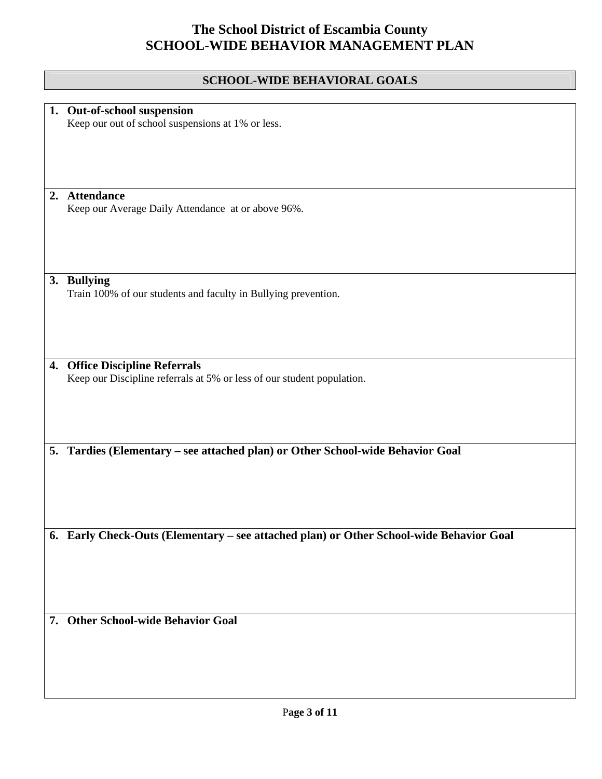### **SCHOOL-WIDE BEHAVIORAL GOALS**

| 1. Out-of-school suspension                                                             |  |  |
|-----------------------------------------------------------------------------------------|--|--|
| Keep our out of school suspensions at 1% or less.                                       |  |  |
|                                                                                         |  |  |
|                                                                                         |  |  |
|                                                                                         |  |  |
|                                                                                         |  |  |
| 2. Attendance                                                                           |  |  |
| Keep our Average Daily Attendance at or above 96%.                                      |  |  |
|                                                                                         |  |  |
|                                                                                         |  |  |
|                                                                                         |  |  |
|                                                                                         |  |  |
| 3. Bullying                                                                             |  |  |
| Train 100% of our students and faculty in Bullying prevention.                          |  |  |
|                                                                                         |  |  |
|                                                                                         |  |  |
|                                                                                         |  |  |
|                                                                                         |  |  |
| 4. Office Discipline Referrals                                                          |  |  |
| Keep our Discipline referrals at 5% or less of our student population.                  |  |  |
|                                                                                         |  |  |
|                                                                                         |  |  |
|                                                                                         |  |  |
|                                                                                         |  |  |
| 5. Tardies (Elementary - see attached plan) or Other School-wide Behavior Goal          |  |  |
|                                                                                         |  |  |
|                                                                                         |  |  |
|                                                                                         |  |  |
|                                                                                         |  |  |
|                                                                                         |  |  |
| 6. Early Check-Outs (Elementary - see attached plan) or Other School-wide Behavior Goal |  |  |
|                                                                                         |  |  |
|                                                                                         |  |  |
|                                                                                         |  |  |
|                                                                                         |  |  |
|                                                                                         |  |  |
| 7. Other School-wide Behavior Goal                                                      |  |  |
|                                                                                         |  |  |
|                                                                                         |  |  |
|                                                                                         |  |  |
|                                                                                         |  |  |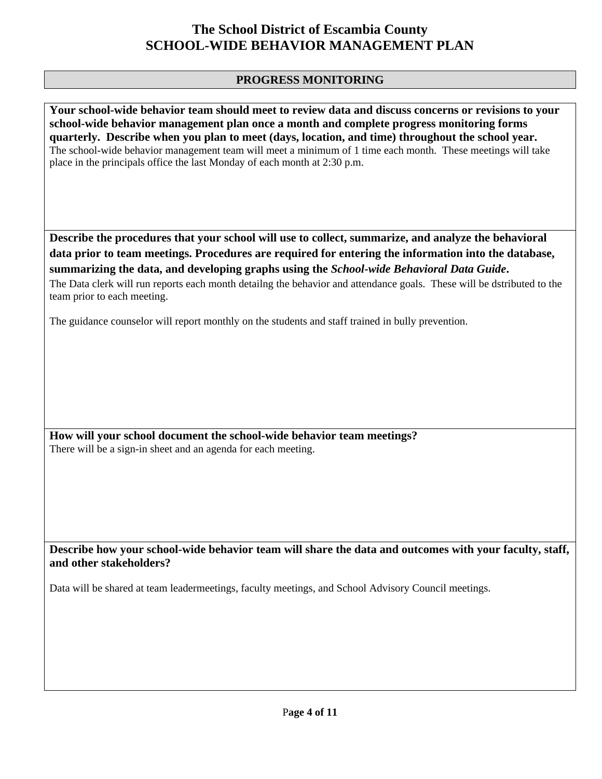#### **PROGRESS MONITORING**

**Your school-wide behavior team should meet to review data and discuss concerns or revisions to your school-wide behavior management plan once a month and complete progress monitoring forms quarterly. Describe when you plan to meet (days, location, and time) throughout the school year.**  The school-wide behavior management team will meet a minimum of 1 time each month. These meetings will take place in the principals office the last Monday of each month at 2:30 p.m.

**Describe the procedures that your school will use to collect, summarize, and analyze the behavioral data prior to team meetings. Procedures are required for entering the information into the database, summarizing the data, and developing graphs using the** *School-wide Behavioral Data Guide***.** 

The Data clerk will run reports each month detailng the behavior and attendance goals. These will be dstributed to the team prior to each meeting.

The guidance counselor will report monthly on the students and staff trained in bully prevention.

**How will your school document the school-wide behavior team meetings?** There will be a sign-in sheet and an agenda for each meeting.

**Describe how your school-wide behavior team will share the data and outcomes with your faculty, staff, and other stakeholders?** 

Data will be shared at team leadermeetings, faculty meetings, and School Advisory Council meetings.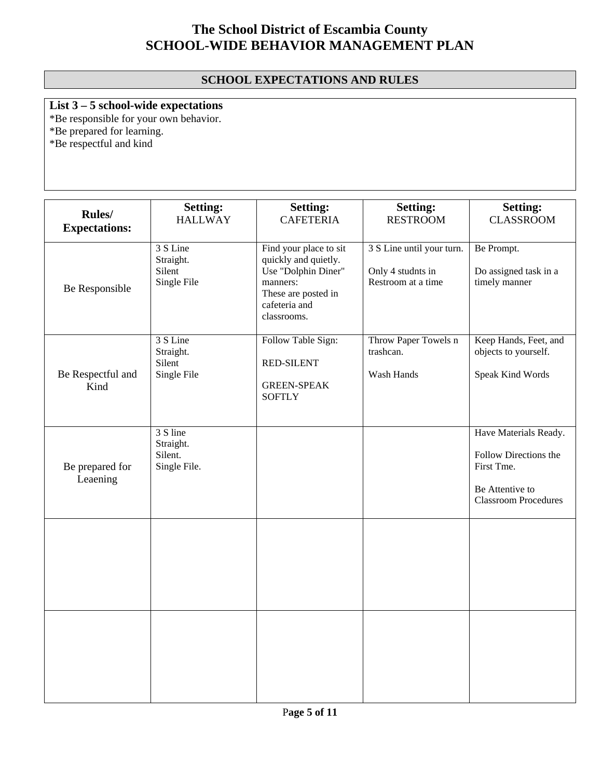### **SCHOOL EXPECTATIONS AND RULES**

### **List 3 – 5 school-wide expectations**

\*Be responsible for your own behavior. \*Be prepared for learning. \*Be respectful and kind

| <b>Rules</b> /<br><b>Expectations:</b> | <b>Setting:</b><br><b>HALLWAY</b>                | <b>Setting:</b><br><b>CAFETERIA</b>                                                                                                      | <b>Setting:</b><br><b>RESTROOM</b>                                   | <b>Setting:</b><br><b>CLASSROOM</b>                                                                            |
|----------------------------------------|--------------------------------------------------|------------------------------------------------------------------------------------------------------------------------------------------|----------------------------------------------------------------------|----------------------------------------------------------------------------------------------------------------|
| Be Responsible                         | 3 S Line<br>Straight.<br>Silent<br>Single File   | Find your place to sit<br>quickly and quietly.<br>Use "Dolphin Diner"<br>manners:<br>These are posted in<br>cafeteria and<br>classrooms. | 3 S Line until your turn.<br>Only 4 studnts in<br>Restroom at a time | Be Prompt.<br>Do assigned task in a<br>timely manner                                                           |
| Be Respectful and<br>Kind              | 3 S Line<br>Straight.<br>Silent<br>Single File   | Follow Table Sign:<br><b>RED-SILENT</b><br><b>GREEN-SPEAK</b><br><b>SOFTLY</b>                                                           | Throw Paper Towels n<br>trashcan.<br>Wash Hands                      | Keep Hands, Feet, and<br>objects to yourself.<br>Speak Kind Words                                              |
| Be prepared for<br>Leaening            | 3 S line<br>Straight.<br>Silent.<br>Single File. |                                                                                                                                          |                                                                      | Have Materials Ready.<br>Follow Directions the<br>First Tme.<br>Be Attentive to<br><b>Classroom Procedures</b> |
|                                        |                                                  |                                                                                                                                          |                                                                      |                                                                                                                |
|                                        |                                                  |                                                                                                                                          |                                                                      |                                                                                                                |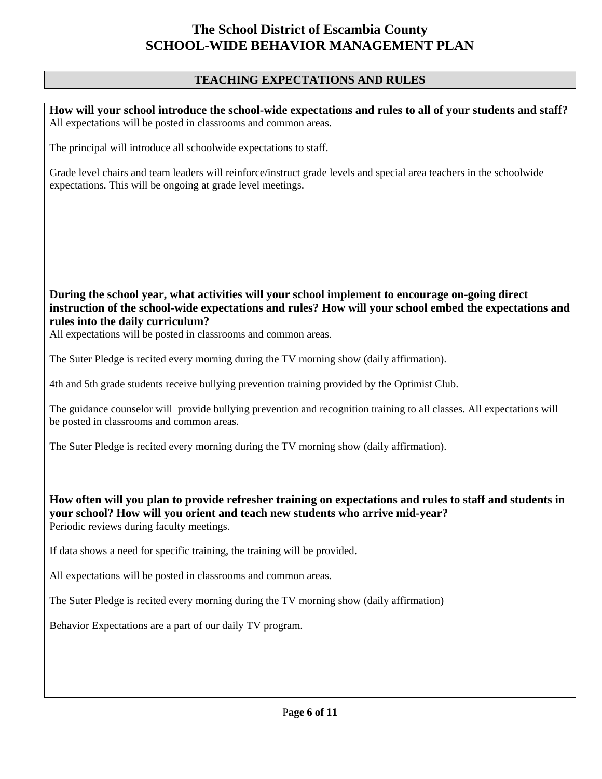#### **TEACHING EXPECTATIONS AND RULES**

**How will your school introduce the school-wide expectations and rules to all of your students and staff?**  All expectations will be posted in classrooms and common areas.

The principal will introduce all schoolwide expectations to staff.

Grade level chairs and team leaders will reinforce/instruct grade levels and special area teachers in the schoolwide expectations. This will be ongoing at grade level meetings.

#### **During the school year, what activities will your school implement to encourage on-going direct instruction of the school-wide expectations and rules? How will your school embed the expectations and rules into the daily curriculum?**

All expectations will be posted in classrooms and common areas.

The Suter Pledge is recited every morning during the TV morning show (daily affirmation).

4th and 5th grade students receive bullying prevention training provided by the Optimist Club.

The guidance counselor will provide bullying prevention and recognition training to all classes. All expectations will be posted in classrooms and common areas.

The Suter Pledge is recited every morning during the TV morning show (daily affirmation).

**How often will you plan to provide refresher training on expectations and rules to staff and students in your school? How will you orient and teach new students who arrive mid-year?**  Periodic reviews during faculty meetings.

If data shows a need for specific training, the training will be provided.

All expectations will be posted in classrooms and common areas.

The Suter Pledge is recited every morning during the TV morning show (daily affirmation)

Behavior Expectations are a part of our daily TV program.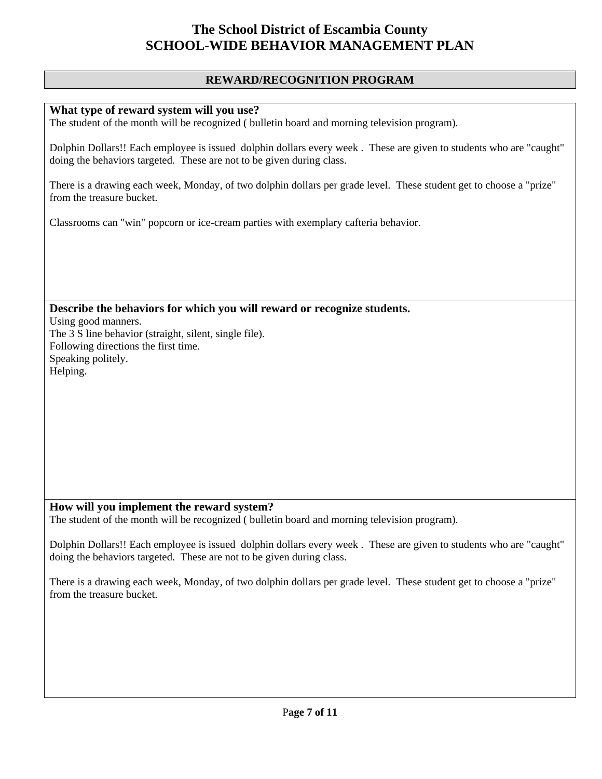#### **REWARD/RECOGNITION PROGRAM**

#### **What type of reward system will you use?**

The student of the month will be recognized ( bulletin board and morning television program).

Dolphin Dollars!! Each employee is issued dolphin dollars every week . These are given to students who are "caught" doing the behaviors targeted. These are not to be given during class.

There is a drawing each week, Monday, of two dolphin dollars per grade level. These student get to choose a "prize" from the treasure bucket.

Classrooms can "win" popcorn or ice-cream parties with exemplary cafteria behavior.

**Describe the behaviors for which you will reward or recognize students.** 

Using good manners. The 3 S line behavior (straight, silent, single file). Following directions the first time. Speaking politely. Helping.

#### **How will you implement the reward system?**

The student of the month will be recognized ( bulletin board and morning television program).

Dolphin Dollars!! Each employee is issued dolphin dollars every week . These are given to students who are "caught" doing the behaviors targeted. These are not to be given during class.

There is a drawing each week, Monday, of two dolphin dollars per grade level. These student get to choose a "prize" from the treasure bucket.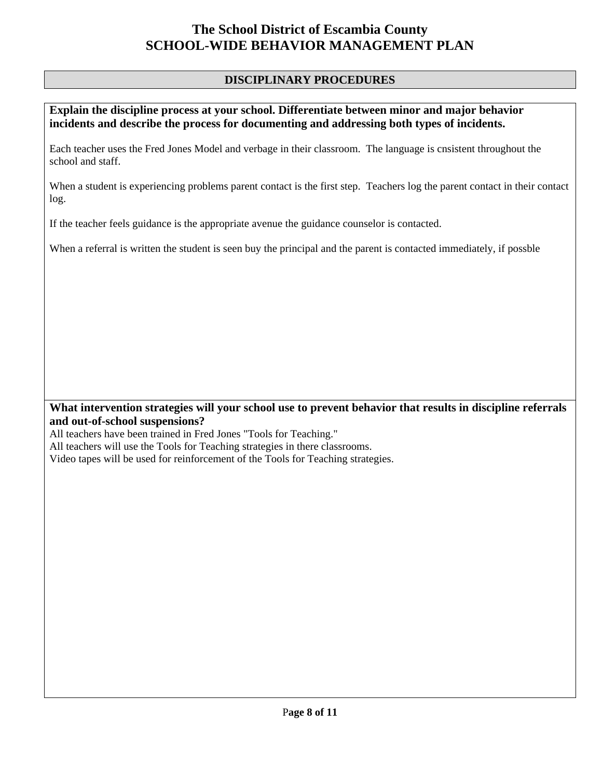#### **DISCIPLINARY PROCEDURES**

**Explain the discipline process at your school. Differentiate between minor and major behavior incidents and describe the process for documenting and addressing both types of incidents.** 

Each teacher uses the Fred Jones Model and verbage in their classroom. The language is cnsistent throughout the school and staff.

When a student is experiencing problems parent contact is the first step. Teachers log the parent contact in their contact log.

If the teacher feels guidance is the appropriate avenue the guidance counselor is contacted.

When a referral is written the student is seen buy the principal and the parent is contacted immediately, if possble

**What intervention strategies will your school use to prevent behavior that results in discipline referrals and out-of-school suspensions?** 

All teachers have been trained in Fred Jones "Tools for Teaching." All teachers will use the Tools for Teaching strategies in there classrooms. Video tapes will be used for reinforcement of the Tools for Teaching strategies.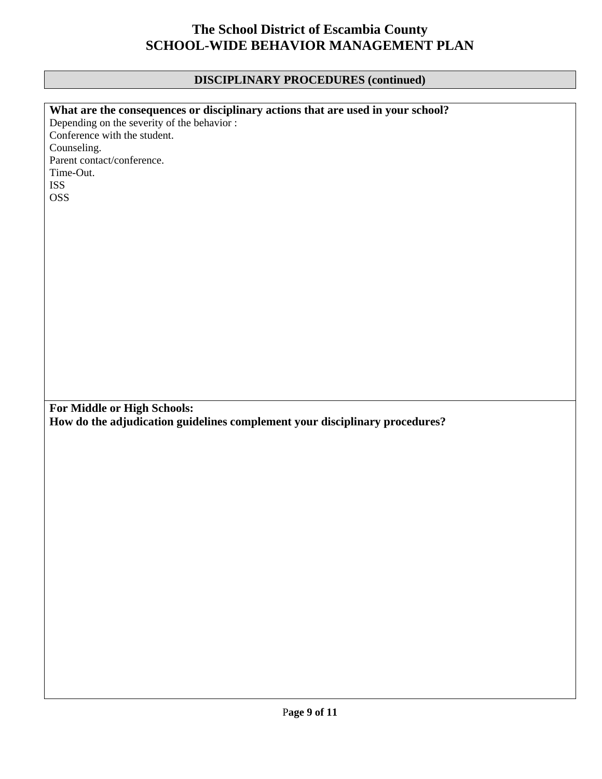### **DISCIPLINARY PROCEDURES (continued)**

| What are the consequences or disciplinary actions that are used in your school? |
|---------------------------------------------------------------------------------|
| Depending on the severity of the behavior :                                     |
| Conference with the student.                                                    |
| Counseling.                                                                     |
| Parent contact/conference.                                                      |
|                                                                                 |
| Time-Out.                                                                       |
| <b>ISS</b>                                                                      |
| <b>OSS</b>                                                                      |
|                                                                                 |
|                                                                                 |
|                                                                                 |
|                                                                                 |
|                                                                                 |
|                                                                                 |
|                                                                                 |
|                                                                                 |
|                                                                                 |
|                                                                                 |
|                                                                                 |
|                                                                                 |
|                                                                                 |
|                                                                                 |
|                                                                                 |
|                                                                                 |
|                                                                                 |
|                                                                                 |
|                                                                                 |
| For Middle or High Schools:                                                     |
|                                                                                 |
| How do the adjudication guidelines complement your disciplinary procedures?     |
|                                                                                 |
|                                                                                 |
|                                                                                 |
|                                                                                 |
|                                                                                 |
|                                                                                 |
|                                                                                 |
|                                                                                 |
|                                                                                 |
|                                                                                 |
|                                                                                 |
|                                                                                 |
|                                                                                 |
|                                                                                 |
|                                                                                 |
|                                                                                 |
|                                                                                 |
|                                                                                 |
|                                                                                 |
|                                                                                 |
|                                                                                 |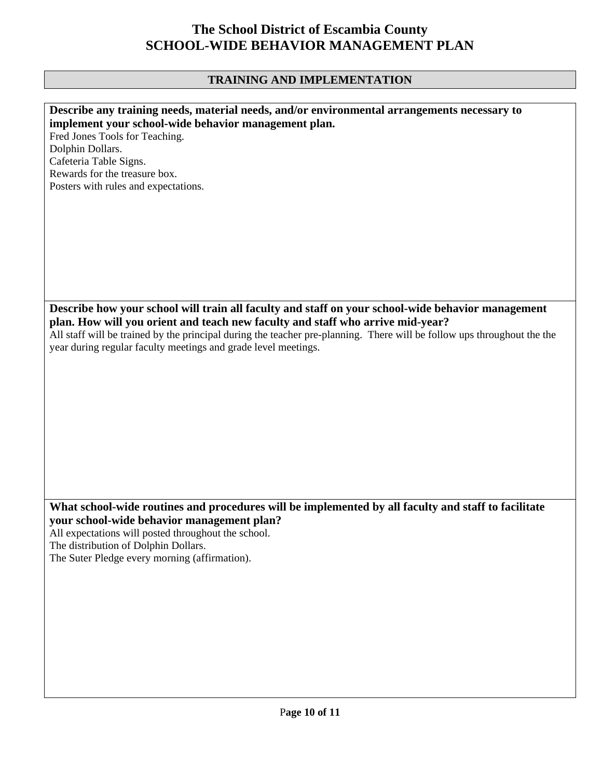### **TRAINING AND IMPLEMENTATION**

| Describe any training needs, material needs, and/or environmental arrangements necessary to                             |
|-------------------------------------------------------------------------------------------------------------------------|
| implement your school-wide behavior management plan.                                                                    |
| Fred Jones Tools for Teaching.                                                                                          |
| Dolphin Dollars.                                                                                                        |
| Cafeteria Table Signs.                                                                                                  |
| Rewards for the treasure box.                                                                                           |
| Posters with rules and expectations.                                                                                    |
|                                                                                                                         |
|                                                                                                                         |
|                                                                                                                         |
|                                                                                                                         |
|                                                                                                                         |
|                                                                                                                         |
|                                                                                                                         |
|                                                                                                                         |
|                                                                                                                         |
|                                                                                                                         |
| Describe how your school will train all faculty and staff on your school-wide behavior management                       |
| plan. How will you orient and teach new faculty and staff who arrive mid-year?                                          |
| All staff will be trained by the principal during the teacher pre-planning. There will be follow ups throughout the the |
| year during regular faculty meetings and grade level meetings.                                                          |
|                                                                                                                         |
|                                                                                                                         |
|                                                                                                                         |
|                                                                                                                         |
|                                                                                                                         |
|                                                                                                                         |
|                                                                                                                         |
|                                                                                                                         |
|                                                                                                                         |
|                                                                                                                         |
|                                                                                                                         |
|                                                                                                                         |
| What school-wide routines and procedures will be implemented by all faculty and staff to facilitate                     |
| your school-wide behavior management plan?                                                                              |
| All expectations will posted throughout the school.                                                                     |
| The distribution of Dolphin Dollars.                                                                                    |
| The Suter Pledge every morning (affirmation).                                                                           |
|                                                                                                                         |
|                                                                                                                         |
|                                                                                                                         |
|                                                                                                                         |
|                                                                                                                         |
|                                                                                                                         |
|                                                                                                                         |
|                                                                                                                         |
|                                                                                                                         |
|                                                                                                                         |